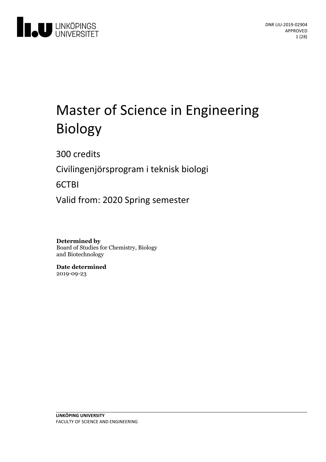

# Master of Science in Engineering Biology

300 credits

Civilingenjörsprogram i teknisk biologi

6CTBI

Valid from: 2020 Spring semester

**Determined by** Board of Studies for Chemistry, Biology and Biotechnology

**Date determined** 2019-09-23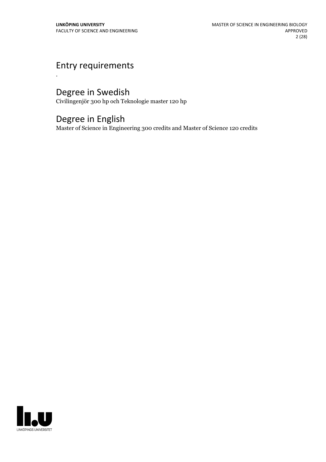# Entry requirements

.

# Degree in Swedish

Civilingenjör 300 hp och Teknologie master 120 hp

# Degree in English

Master of Science in Engineering 300 credits and Master of Science 120 credits

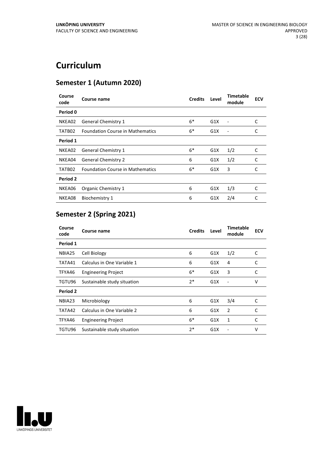# **Curriculum**

# **Semester 1 (Autumn 2020)**

| Course<br>code | Course name                             | <b>Credits</b> | Level | <b>Timetable</b><br>module | <b>ECV</b> |
|----------------|-----------------------------------------|----------------|-------|----------------------------|------------|
| Period 0       |                                         |                |       |                            |            |
| NKEA02         | <b>General Chemistry 1</b>              | $6*$           | G1X   |                            | C          |
| TATB02         | <b>Foundation Course in Mathematics</b> | $6*$           | G1X   |                            | C          |
| Period 1       |                                         |                |       |                            |            |
| NKEA02         | <b>General Chemistry 1</b>              | $6*$           | G1X   | 1/2                        | C          |
| NKEA04         | <b>General Chemistry 2</b>              | 6              | G1X   | 1/2                        | C          |
| TATB02         | <b>Foundation Course in Mathematics</b> | $6*$           | G1X   | 3                          | C          |
| Period 2       |                                         |                |       |                            |            |
| NKEA06         | Organic Chemistry 1                     | 6              | G1X   | 1/3                        | C          |
| NKEA08         | Biochemistry 1                          | 6              | G1X   | 2/4                        | C          |

# **Semester 2 (Spring 2021)**

| Course<br>code | Course name                 | <b>Credits</b> | Level | <b>Timetable</b><br>module | <b>ECV</b> |
|----------------|-----------------------------|----------------|-------|----------------------------|------------|
| Period 1       |                             |                |       |                            |            |
| NBIA25         | Cell Biology                | 6              | G1X   | 1/2                        | C          |
| TATA41         | Calculus in One Variable 1  | 6              | G1X   | 4                          | C          |
| TFYA46         | <b>Engineering Project</b>  | $6*$           | G1X   | 3                          | C          |
| TGTU96         | Sustainable study situation | $2*$           | G1X   | ۰                          | v          |
| Period 2       |                             |                |       |                            |            |
| NBIA23         | Microbiology                | 6              | G1X   | 3/4                        | C          |
| TATA42         | Calculus in One Variable 2  | 6              | G1X   | 2                          | C          |
| TFYA46         | <b>Engineering Project</b>  | $6*$           | G1X   | 1                          | C          |
| TGTU96         | Sustainable study situation | $2*$           | G1X   |                            | v          |

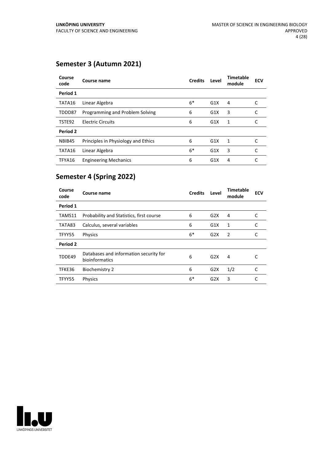### **Semester 3 (Autumn 2021)**

| Course<br>code | Course name                         | <b>Credits</b> | Level | <b>Timetable</b><br>module | <b>ECV</b> |
|----------------|-------------------------------------|----------------|-------|----------------------------|------------|
| Period 1       |                                     |                |       |                            |            |
| TATA16         | Linear Algebra                      | $6*$           | G1X   | 4                          |            |
| TDDD87         | Programming and Problem Solving     | 6              | G1X   | 3                          | C          |
| TSTE92         | <b>Electric Circuits</b>            | 6              | G1X   | 1                          |            |
| Period 2       |                                     |                |       |                            |            |
| NBIB45         | Principles in Physiology and Ethics | 6              | G1X   | 1                          | C          |
| TATA16         | Linear Algebra                      | $6*$           | G1X   | 3                          | C          |
| TFYA16         | <b>Engineering Mechanics</b>        | 6              | G1X   | 4                          |            |

### **Semester 4 (Spring 2022)**

| Course<br>code | Course name                                              | <b>Credits</b> | Level            | <b>Timetable</b><br>module | <b>ECV</b> |
|----------------|----------------------------------------------------------|----------------|------------------|----------------------------|------------|
| Period 1       |                                                          |                |                  |                            |            |
| TAMS11         | Probability and Statistics, first course                 | 6              | G2X              | 4                          | C          |
| TATA83         | Calculus, several variables                              | 6              | G1X              | 1                          | C          |
| TFYY55         | Physics                                                  | $6*$           | G <sub>2</sub> X | $\overline{2}$             | C          |
| Period 2       |                                                          |                |                  |                            |            |
| TDDE49         | Databases and information security for<br>bioinformatics | 6              | G2X              | 4                          | C          |
| TFKE36         | <b>Biochemistry 2</b>                                    | 6              | G2X              | 1/2                        | C          |
| TFYY55         | <b>Physics</b>                                           | $6*$           | G2X              | 3                          | C          |

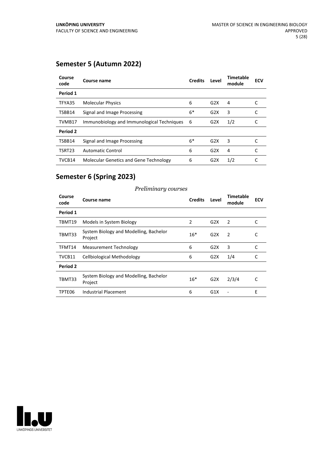### **Semester 5 (Autumn 2022)**

| Course<br>code | Course name                                | <b>Credits</b> | Level            | <b>Timetable</b><br>module | <b>ECV</b> |
|----------------|--------------------------------------------|----------------|------------------|----------------------------|------------|
| Period 1       |                                            |                |                  |                            |            |
| TFYA35         | <b>Molecular Physics</b>                   | 6              | G <sub>2</sub> X | 4                          |            |
| TSBB14         | Signal and Image Processing                | 6*             | G2X              | 3                          |            |
| TVMB17         | Immunobiology and Immunological Techniques | - 6            | G2X              | 1/2                        |            |
| Period 2       |                                            |                |                  |                            |            |
| TSBB14         | Signal and Image Processing                | $6*$           | G2X              | 3                          |            |
| TSRT23         | <b>Automatic Control</b>                   | 6              | G2X              | 4                          |            |
| TVCB14         | Molecular Genetics and Gene Technology     | 6              | G <sub>2</sub> X | 1/2                        |            |

### **Semester 6 (Spring 2023)**

#### **Course code Course name Credits Level Timetable module ECV Period 1** TBMT19 Models in System Biology **2** G2X 2 C TBMT33 System Biology and Modelling, Bachelor Project 16\* G2X 2 C TFMT14 Measurement Technology 6 G2X 3 C TVCB11 Cellbiological Methodology 6 G2X 1/4 C **Period 2** TBMT33 System Biology and Modelling, Bachelor Project 16\* G2X 2/3/4 C TPTE06 Industrial Placement 6 G1X - E

#### *Preliminary courses*

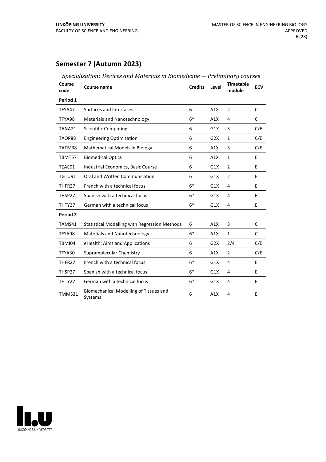### **Semester 7 (Autumn 2023)**

| Course<br>code | <b>Course name</b>                                | <b>Credits</b> | Level | <b>Timetable</b><br>module | <b>ECV</b>   |
|----------------|---------------------------------------------------|----------------|-------|----------------------------|--------------|
| Period 1       |                                                   |                |       |                            |              |
| TFYA47         | Surfaces and Interfaces                           | 6              | A1X   | $\overline{2}$             | C            |
| TFYA98         | Materials and Nanotechnology                      | $6*$           | A1X   | 4                          | $\mathsf{C}$ |
| TANA21         | <b>Scientific Computing</b>                       | 6              | G1X   | 3                          | C/E          |
| TAOP88         | <b>Engineering Optimization</b>                   | 6              | G2X   | $\mathbf{1}$               | C/E          |
| TATM38         | Mathematical Models in Biology                    | 6              | A1X   | 3                          | C/E          |
| TBMT57         | <b>Biomedical Optics</b>                          | 6              | A1X   | $\mathbf{1}$               | E            |
| TEAE01         | Industrial Economics, Basic Course                | 6              | G1X   | 2                          | E            |
| TGTU91         | Oral and Written Communication                    | 6              | G1X   | 2                          | E            |
| THFR27         | French with a technical focus                     | $6*$           | G1X   | 4                          | E            |
| THSP27         | Spanish with a technical focus                    | $6*$           | G1X   | 4                          | E            |
| THTY27         | German with a technical focus                     | $6*$           | G1X   | 4                          | E            |
| Period 2       |                                                   |                |       |                            |              |
| TAMS41         | Statistical Modelling with Regression Methods     | 6              | A1X   | 3                          | C            |
| TFYA98         | Materials and Nanotechnology                      | $6*$           | A1X   | $\mathbf{1}$               | C            |
| TBMI04         | eHealth: Aims and Applications                    | 6              | G2X   | 2/4                        | C/E          |
| TFYA30         | Supramolecular Chemistry                          | 6              | A1X   | $\overline{2}$             | C/E          |
| THFR27         | French with a technical focus                     | $6*$           | G1X   | 4                          | E            |
| THSP27         | Spanish with a technical focus                    | $6*$           | G1X   | 4                          | E            |
| THTY27         | German with a technical focus                     | $6*$           | G1X   | 4                          | E            |
| TMMS31         | Biomechanical Modelling of Tissues and<br>Systems | 6              | A1X   | $\overline{4}$             | E            |



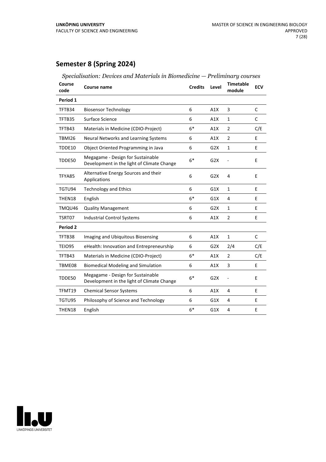# **Semester 8 (Spring 2024)**

| specialisation. Devices and materials in Diomedicine                            |                |                  | Themmund y complete |                  |
|---------------------------------------------------------------------------------|----------------|------------------|---------------------|------------------|
| Course name                                                                     | <b>Credits</b> | Level            | module              | <b>ECV</b>       |
|                                                                                 |                |                  |                     |                  |
| <b>Biosensor Technology</b>                                                     | 6              | A1X              | 3                   | C                |
| Surface Science                                                                 | 6              | A1X              | $\mathbf{1}$        | C                |
| Materials in Medicine (CDIO-Project)                                            | $6*$           | A1X              | $\overline{2}$      | C/E              |
| Neural Networks and Learning Systems                                            | 6              | A1X              | $\overline{2}$      | E                |
| Object Oriented Programming in Java                                             | 6              | G2X              | $\mathbf{1}$        | E                |
| Megagame - Design for Sustainable<br>Development in the light of Climate Change | $6*$           | G <sub>2</sub> X |                     | E                |
| Alternative Energy Sources and their<br>Applications                            | 6              | G <sub>2</sub> X | 4                   | E                |
| <b>Technology and Ethics</b>                                                    | 6              | G1X              | $\mathbf{1}$        | E                |
| English                                                                         | $6*$           | G1X              | 4                   | E                |
| <b>Quality Management</b>                                                       | 6              | G <sub>2</sub> X | 1                   | E                |
| <b>Industrial Control Systems</b>                                               | 6              | A1X              | 2                   | E                |
|                                                                                 |                |                  |                     |                  |
| Imaging and Ubiquitous Biosensing                                               | 6              | A1X              | $\mathbf{1}$        | C                |
| eHealth: Innovation and Entrepreneurship                                        | 6              | G2X              | 2/4                 | C/E              |
| Materials in Medicine (CDIO-Project)                                            | $6*$           | A1X              | $\overline{2}$      | C/E              |
| <b>Biomedical Modeling and Simulation</b>                                       | 6              | A1X              | 3                   | E                |
| Megagame - Design for Sustainable<br>Development in the light of Climate Change | $6*$           | G <sub>2</sub> X | L,                  | E                |
| <b>Chemical Sensor Systems</b>                                                  | 6              | A1X              | 4                   | E                |
| Philosophy of Science and Technology                                            | 6              | G1X              | 4                   | E                |
| English                                                                         | $6*$           | G1X              | 4                   | E                |
|                                                                                 |                |                  |                     | <b>Timetable</b> |

#### *Specialisation: Devices and Materials in Biomedicine — Preliminary courses*

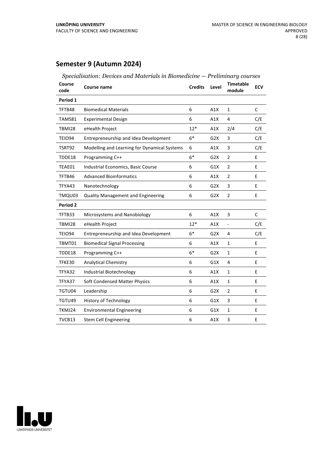### **Semester 9 (Autumn 2024)**

| Course<br>code | <b>Course name</b>                           | <b>Credits</b> | Level            | <b>Timetable</b><br>module | <b>ECV</b>   |
|----------------|----------------------------------------------|----------------|------------------|----------------------------|--------------|
| Period 1       |                                              |                |                  |                            |              |
| TFTB48         | <b>Biomedical Materials</b>                  | 6              | A1X              | $\mathbf{1}$               | C            |
| TAMS81         | <b>Experimental Design</b>                   | 6              | A1X              | 4                          | C/E          |
| <b>TBMI28</b>  | eHealth Project                              | $12*$          | A1X              | 2/4                        | C/E          |
| <b>TEIO94</b>  | Entrepreneurship and Idea Development        | $6*$           | G <sub>2</sub> X | 3                          | C/E          |
| TSRT92         | Modelling and Learning for Dynamical Systems | 6              | A1X              | 3                          | C/E          |
| TDDE18         | Programming C++                              | $6*$           | G <sub>2</sub> X | $\overline{2}$             | E            |
| TEAE01         | Industrial Economics, Basic Course           | 6              | G1X              | 2                          | E            |
| TFTB46         | <b>Advanced Bioinformatics</b>               | 6              | A1X              | $\overline{2}$             | E            |
| TFYA43         | Nanotechnology                               | 6              | G2X              | 3                          | E            |
| TMQU03         | <b>Quality Management and Engineering</b>    | 6              | G <sub>2</sub> X | $\overline{2}$             | E            |
| Period 2       |                                              |                |                  |                            |              |
| TFTB33         | Microsystems and Nanobiology                 | 6              | A1X              | 3                          | $\mathsf{C}$ |
| <b>TBMI28</b>  | eHealth Project                              | $12*$          | A1X              | $\frac{1}{2}$              | C/E          |
| TEIO94         | Entrepreneurship and Idea Development        | $6*$           | G2X              | 4                          | C/E          |
| TBMT01         | <b>Biomedical Signal Processing</b>          | 6              | A1X              | $\mathbf{1}$               | E            |
| TDDE18         | Programming C++                              | $6*$           | G2X              | $\mathbf{1}$               | E            |
| TFKE30         | <b>Analytical Chemistry</b>                  | 6              | G1X              | 4                          | E            |
| TFYA32         | Industrial Biotechnology                     | 6              | A1X              | $\mathbf{1}$               | E            |
| TFYA37         | Soft Condensed Matter Physics                | 6              | A1X              | $\mathbf{1}$               | E            |
| TGTU04         | Leadership                                   | 6              | G2X              | $\overline{2}$             | E            |
| TGTU49         | <b>History of Technology</b>                 | 6              | G1X              | 3                          | E            |
| TKMJ24         | <b>Environmental Engineering</b>             | 6              | G1X              | 1                          | E            |
| TVCB13         | <b>Stem Cell Engineering</b>                 | 6              | A1X              | 3                          | E            |



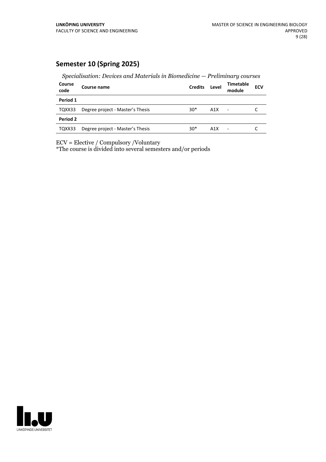### **Semester 10 (Spring 2025)**

*Specialisation: Devices and Materials in Biomedicine — Preliminary courses*

| Course<br>code | Course name                      | <b>Credits</b> | Level            | <b>Timetable</b><br>module | <b>ECV</b> |
|----------------|----------------------------------|----------------|------------------|----------------------------|------------|
| Period 1       |                                  |                |                  |                            |            |
| TQXX33         | Degree project - Master's Thesis | $30*$          | A1X              | $\overline{\phantom{a}}$   |            |
| Period 2       |                                  |                |                  |                            |            |
| TQXX33         | Degree project - Master's Thesis | $30*$          | A <sub>1</sub> X | $\overline{\phantom{a}}$   |            |

ECV = Elective / Compulsory /Voluntary

\*The course is divided into several semesters and/or periods

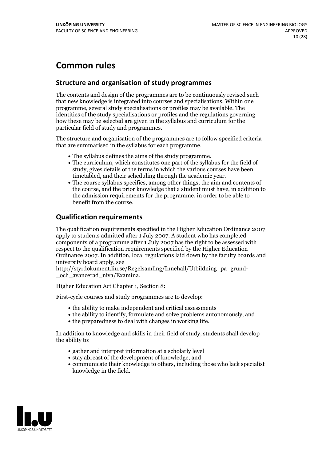# **Common rules**

### **Structure and organisation of study programmes**

The contents and design of the programmes are to be continuously revised such that new knowledge is integrated into courses and specialisations. Within one programme, several study specialisations or profiles may be available. The identities of the study specialisations or profiles and the regulations governing how these may be selected are given in the syllabus and curriculum for the particular field of study and programmes.

The structure and organisation of the programmes are to follow specified criteria that are summarised in the syllabus for each programme.

- 
- The syllabus defines the aims of the study programme.<br>• The curriculum, which constitutes one part of the syllabus for the field of study, gives details of the terms in which the various courses have been timetabled, and their scheduling through the academic year.<br>• The course syllabus specifies, among other things, the aim and contents of
- the course, and the prior knowledge that a student must have, in addition to the admission requirements for the programme, in order to be able to benefit from the course.

### **Qualification requirements**

The qualification requirements specified in the Higher Education Ordinance 2007 apply to students admitted after 1 July 2007. A student who has completed components of a programme after 1 July 2007 has the right to be assessed with respect to the qualification requirements specified by the Higher Education Ordinance 2007. In addition, local regulations laid down by the faculty boards and university board apply, see

http://styrdokument.liu.se/Regelsamling/Innehall/Utbildning\_pa\_grund-och\_avancerad\_niva/Examina.

Higher Education Act Chapter 1, Section 8:

First-cycle courses and study programmes are to develop:

- the ability to make independent and critical assessments
- the ability to identify, formulate and solve problems autonomously, and
- the preparedness to deal with changes in working life.

In addition to knowledge and skills in their field of study, students shall develop the ability to:

- gather and interpret information at a scholarly level
- stay abreast of the development of knowledge, and
- communicate their knowledge to others, including those who lack specialist knowledge in the field.

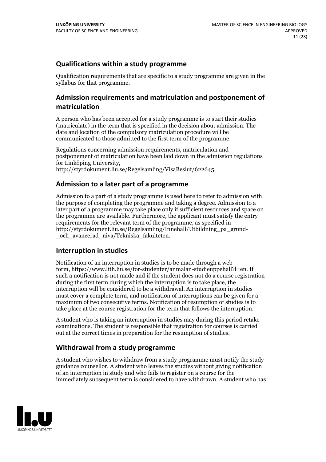### **Qualifications within a study programme**

Qualification requirements that are specific to a study programme are given in the syllabus for that programme.

### **Admission requirements and matriculation and postponement of matriculation**

A person who has been accepted for a study programme is to start their studies (matriculate) in the term that is specified in the decision about admission. The date and location of the compulsory matriculation procedure will be communicated to those admitted to the first term of the programme.

Regulations concerning admission requirements, matriculation and postponement of matriculation have been laid down in the admission regulations for Linköping University, http://styrdokument.liu.se/Regelsamling/VisaBeslut/622645.

### **Admission to a later part of a programme**

Admission to a part of a study programme is used here to refer to admission with the purpose of completing the programme and taking a degree. Admission to a later part of a programme may take place only if sufficient resources and space on the programme are available. Furthermore, the applicant must satisfy the entry requirements for the relevant term of the programme, as specified in http://styrdokument.liu.se/Regelsamling/Innehall/Utbildning\_pa\_grund- \_och\_avancerad\_niva/Tekniska\_fakulteten.

### **Interruption in studies**

Notification of an interruption in studies is to be made through a web form, https://www.lith.liu.se/for-studenter/anmalan-studieuppehall?l=en. If such a notification is not made and if the student does not do a course registration during the first term during which the interruption is to take place, the interruption will be considered to be a withdrawal. An interruption in studies must cover a complete term, and notification of interruptions can be given for a maximum of two consecutive terms. Notification of resumption of studies is to take place at the course registration for the term that follows the interruption.

A student who is taking an interruption in studies may during this period retake examinations. The student is responsible that registration for courses is carried out at the correct times in preparation for the resumption of studies.

### **Withdrawal from a study programme**

A student who wishes to withdraw from a study programme must notify the study guidance counsellor. A student who leaves the studies without giving notification of an interruption in study and who fails to register on a course for the immediately subsequent term is considered to have withdrawn. A student who has

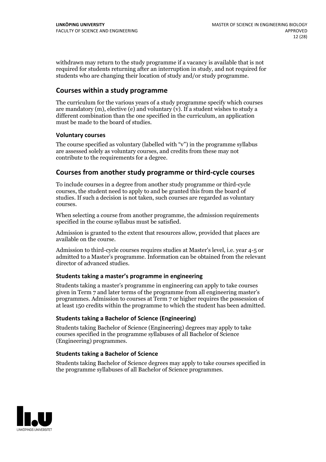withdrawn may return to the study programme if a vacancy is available that is not required for students returning after an interruption in study, and not required for students who are changing their location of study and/or study programme.

### **Courses within a study programme**

The curriculum for the various years of a study programme specify which courses are mandatory  $(m)$ , elective (e) and voluntary  $(v)$ . If a student wishes to study a different combination than the one specified in the curriculum, an application must be made to the board of studies.

#### **Voluntarycourses**

The course specified as voluntary (labelled with "v") in the programme syllabus are assessed solely as voluntary courses, and credits from these may not contribute to the requirements for a degree.

### **Courses from another study programme orthird-cycle courses**

To include courses in a degree from another study programme or third-cycle courses, the student need to apply to and be granted this from the board of studies. If such a decision is not taken, such courses are regarded as voluntary courses.

When selecting a course from another programme, the admission requirements specified in the course syllabus must be satisfied.

Admission is granted to the extent that resources allow, provided that places are available on the course.

Admission to third-cycle courses requires studies at Master's level, i.e. year 4-5 or admitted to a Master's programme. Information can be obtained from the relevant director of advanced studies.

#### **Students taking a master's programme in engineering**

Students taking a master's programme in engineering can apply to take courses given in Term 7 and later terms of the programme from all engineering master's programmes. Admission to courses at Term 7 or higher requires the possession of at least 150 credits within the programme to which the student has been admitted.

#### **Students taking a Bachelor of Science (Engineering)**

Students taking Bachelor of Science (Engineering) degrees may apply to take courses specified in the programme syllabuses of all Bachelor of Science (Engineering) programmes.

#### **Students taking a Bachelor of Science**

Students taking Bachelor of Science degrees may apply to take courses specified in the programme syllabuses of all Bachelor of Science programmes.

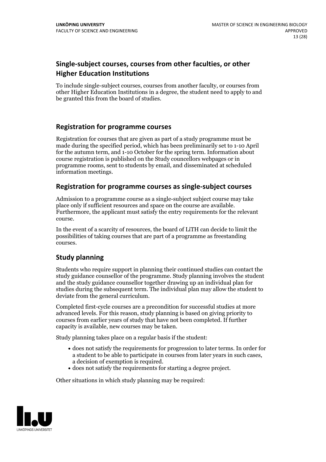### **Single-subject courses, courses from other faculties, or other Higher Education Institutions**

To include single-subject courses, courses from another faculty, or courses from other Higher Education Institutions in a degree, the student need to apply to and be granted this from the board of studies.

### **Registration for programme courses**

Registration for courses that are given as part of a study programme must be made during the specified period, which has been preliminarily set to 1-10 April for the autumn term, and 1-10 October for the spring term. Information about course registration is published on the Study councellors webpages or in programme rooms, sent to students by email, and disseminated at scheduled information meetings.

### **Registration for programme courses as single-subject courses**

Admission to a programme course as a single-subject subject course may take place only if sufficient resources and space on the course are available. Furthermore, the applicant must satisfy the entry requirements for the relevant course.

In the event of a scarcity of resources, the board of LiTH can decide to limit the possibilities of taking courses that are part of a programme as freestanding courses.

### **Study planning**

Students who require support in planning their continued studies can contact the study guidance counsellor of the programme. Study planning involves the student and the study guidance counsellor together drawing up an individual plan for studies during the subsequent term. The individual plan may allow the student to deviate from the general curriculum.

Completed first-cycle courses are a precondition for successful studies at more advanced levels. For this reason, study planning is based on giving priority to courses from earlier years of study that have not been completed. If further capacity is available, new courses may be taken.

Study planning takes place on a regular basis if the student:

- does not satisfy the requirements for progression to later terms. In order for a student to be able to participate in courses from later years in such cases, a decision of exemption is required.<br>
• does not satisfy the requirements for starting a degree project.
- 

Other situations in which study planning may be required:

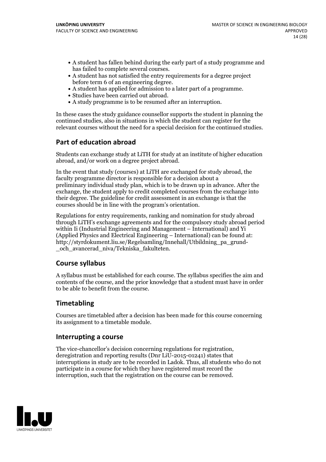- A student has fallen behind during the early part of a study programme and
- has failed to complete several courses.<br>• A student has not satisfied the entry requirements for a degree project<br>before term 6 of an engineering degree.
- A student has applied for admission to a later part of a programme.<br>• Studies have been carried out abroad.<br>• A study programme is to be resumed after an interruption.
- 
- 

In these cases the study guidance counsellor supports the student in planning the continued studies, also in situations in which the student can register for the relevant courses without the need for a special decision for the continued studies.

### **Part of education abroad**

Students can exchange study at LiTH for study at an institute of higher education abroad, and/or work on a degree project abroad.

In the event that study (courses) at LiTH are exchanged for study abroad, the faculty programme director is responsible for a decision about a preliminary individual study plan, which is to be drawn up in advance. After the exchange, the student apply to credit completed courses from the exchange into their degree. The guideline for credit assessment in an exchange is that the courses should be in line with the program's orientation.

Regulations for entry requirements, ranking and nomination for study abroad through LiTH's exchange agreements and for the compulsory study abroad period within Ii (Industrial Engineering and Management – International) and Yi (Applied Physics and Electrical Engineering – International) can be found at: http://styrdokument.liu.se/Regelsamling/Innehall/Utbildning\_pa\_grund- \_och\_avancerad\_niva/Tekniska\_fakulteten.

### **Course syllabus**

A syllabus must be established for each course. The syllabus specifies the aim and contents of the course, and the prior knowledge that a student must have in order to be able to benefit from the course.

### **Timetabling**

Courses are timetabled after a decision has been made for this course concerning its assignment to a timetable module.

#### **Interrupting a course**

The vice-chancellor's decision concerning regulations for registration, deregistration and reporting results (Dnr LiU-2015-01241) states that interruptions in study are to be recorded in Ladok. Thus, all students who do not participate in a course for which they have registered must record the interruption, such that the registration on the course can be removed.

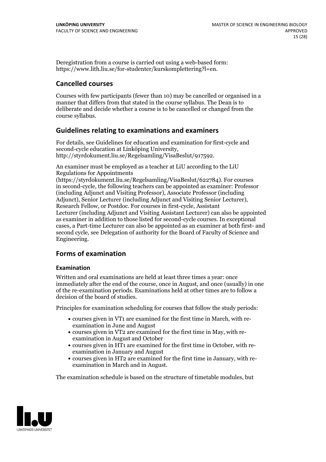Deregistration from a course is carried out using a web-based form: https://www.lith.liu.se/for-studenter/kurskomplettering?l=en.

### **Cancelled courses**

Courses with few participants (fewer than 10) may be cancelled or organised in a manner that differs from that stated in the course syllabus. The Dean is to deliberate and decide whether a course is to be cancelled or changed from the course syllabus.

### **Guidelines relatingto examinations and examiners**

For details, see Guidelines for education and examination for first-cycle and second-cycle education at Linköping University, http://styrdokument.liu.se/Regelsamling/VisaBeslut/917592.

An examiner must be employed as a teacher at LiU according to the LiU Regulations for Appointments

(https://styrdokument.liu.se/Regelsamling/VisaBeslut/622784). For courses in second-cycle, the following teachers can be appointed as examiner: Professor (including Adjunct and Visiting Professor), Associate Professor (including Adjunct), Senior Lecturer (including Adjunct and Visiting Senior Lecturer), Research Fellow, or Postdoc. For courses in first-cycle, Assistant Lecturer (including Adjunct and Visiting Assistant Lecturer) can also be appointed as examiner in addition to those listed for second-cycle courses. In exceptional cases, a Part-time Lecturer can also be appointed as an examiner at both first- and second cycle, see Delegation of authority for the Board of Faculty of Science and Engineering.

### **Forms of examination**

#### **Examination**

Written and oral examinations are held at least three times a year: once immediately after the end of the course, once in August, and once (usually) in one of the re-examination periods. Examinations held at other times are to follow a decision of the board of studies.

Principles for examination scheduling for courses that follow the study periods:

- courses given in VT1 are examined for the first time in March, with re-examination in June and August
- courses given in VT2 are examined for the first time in May, with re-examination in August and October
- courses given in HT1 are examined for the first time in October, with re-examination in January and August
- courses given in HT2 are examined for the first time in January, with re-examination in March and in August.

The examination schedule is based on the structure of timetable modules, but

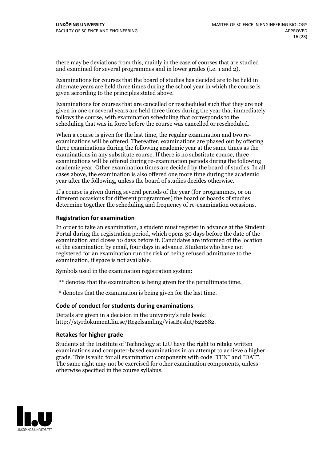there may be deviations from this, mainly in the case of courses that are studied and examined for several programmes and in lower grades (i.e. 1 and 2).

Examinations for courses that the board of studies has decided are to be held in alternate years are held three times during the school year in which the course is given according to the principles stated above.

Examinations for courses that are cancelled or rescheduled such that they are not given in one or several years are held three times during the year that immediately follows the course, with examination scheduling that corresponds to the scheduling that was in force before the course was cancelled or rescheduled.

When a course is given for the last time, the regular examination and two re-<br>examinations will be offered. Thereafter, examinations are phased out by offering three examinations during the following academic year at the same times as the examinations in any substitute course. If there is no substitute course, three examinations will be offered during re-examination periods during the following academic year. Other examination times are decided by the board of studies. In all cases above, the examination is also offered one more time during the academic year after the following, unless the board of studies decides otherwise.

If a course is given during several periods of the year (for programmes, or on different occasions for different programmes) the board or boards of studies determine together the scheduling and frequency of re-examination occasions.

#### **Registration for examination**

In order to take an examination, a student must register in advance at the Student Portal during the registration period, which opens 30 days before the date of the examination and closes 10 days before it. Candidates are informed of the location of the examination by email, four days in advance. Students who have not registered for an examination run the risk of being refused admittance to the examination, if space is not available.

Symbols used in the examination registration system:

\*\* denotes that the examination is being given for the penultimate time.

\* denotes that the examination is being given for the last time.

#### **Code of conduct for students during examinations**

Details are given in a decision in the university's rule book: http://styrdokument.liu.se/Regelsamling/VisaBeslut/622682.

#### **Retakes for higher grade**

Students at the Institute of Technology at LiU have the right to retake written examinations and computer-based examinations in an attempt to achieve a higher grade. This is valid for all examination components with code "TEN" and "DAT". The same right may not be exercised for other examination components, unless otherwise specified in the course syllabus.

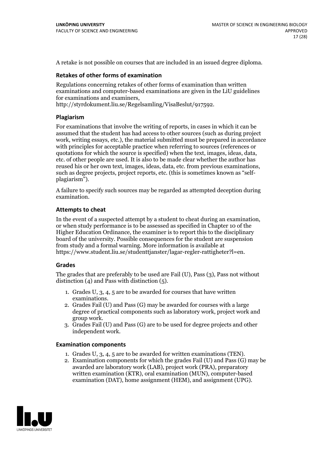A retake is not possible on courses that are included in an issued degree diploma.

#### **Retakes of other forms of examination**

Regulations concerning retakes of other forms of examination than written examinations and computer-based examinations are given in the LiU guidelines for examinations and examiners, http://styrdokument.liu.se/Regelsamling/VisaBeslut/917592.

#### **Plagiarism**

For examinations that involve the writing of reports, in cases in which it can be assumed that the student has had access to other sources (such as during project work, writing essays, etc.), the material submitted must be prepared in accordance with principles for acceptable practice when referring to sources (references or quotations for which the source is specified) when the text, images, ideas, data, etc. of other people are used. It is also to be made clear whether the author has reused his or her own text, images, ideas, data, etc. from such as degree projects, project reports, etc. (this is sometimes known as "self-<br>plagiarism").

A failure to specify such sources may be regarded as attempted deception during examination.

#### **Attempts to cheat**

In the event of <sup>a</sup> suspected attempt by <sup>a</sup> student to cheat during an examination, or when study performance is to be assessed as specified in Chapter <sup>10</sup> of the Higher Education Ordinance, the examiner is to report this to the disciplinary board of the university. Possible consequences for the student are suspension from study and a formal warning. More information is available at https://www.student.liu.se/studenttjanster/lagar-regler-rattigheter?l=en.

#### **Grades**

The grades that are preferably to be used are Fail (U), Pass (3), Pass not without distinction  $(4)$  and Pass with distinction  $(5)$ .

- 1. Grades U, 3, 4, 5 are to be awarded for courses that have written examinations. 2. Grades Fail (U) and Pass (G) may be awarded for courses with <sup>a</sup> large
- degree of practical components such as laboratory work, project work and group work. 3. Grades Fail (U) and Pass (G) are to be used for degree projects and other
- independent work.

#### **Examination components**

- 1. Grades U, 3, 4, <sup>5</sup> are to be awarded for written examinations (TEN). 2. Examination components for which the grades Fail (U) and Pass (G) may be
- awarded are laboratory work (LAB), project work (PRA), preparatory written examination (KTR), oral examination (MUN), computer-based examination (DAT), home assignment (HEM), and assignment (UPG).

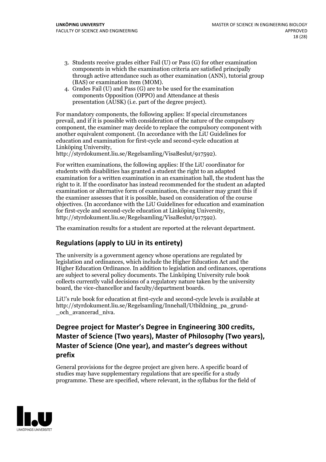- 3. Students receive grades either Fail (U) or Pass (G) for other examination components in which the examination criteria are satisfied principally through active attendance such as other examination (ANN), tutorial group (BAS) or examination item (MOM). 4. Grades Fail (U) and Pass (G) are to be used for the examination
- components Opposition (OPPO) and Attendance at thesis presentation (AUSK) (i.e. part of the degree project).

For mandatory components, the following applies: If special circumstances prevail, and if it is possible with consideration of the nature ofthe compulsory component, the examiner may decide to replace the compulsory component with another equivalent component. (In accordance with the LiU Guidelines for education and examination for first-cycle and second-cycle education at Linköping University, http://styrdokument.liu.se/Regelsamling/VisaBeslut/917592).

For written examinations, the following applies: If the LiU coordinator for students with disabilities has granted a student the right to an adapted examination for a written examination in an examination hall, the student has the right to it. If the coordinator has instead recommended for the student an adapted examination or alternative form of examination, the examiner may grant this if the examiner assesses that it is possible, based on consideration of the course objectives. (In accordance with the LiU Guidelines for education and examination for first-cycle and second-cycle education at Linköping University, http://styrdokument.liu.se/Regelsamling/VisaBeslut/917592).

The examination results for a student are reported at the relevant department.

### **Regulations (applyto LiU in its entirety)**

The university is a government agency whose operations are regulated by legislation and ordinances, which include the Higher Education Act and the Higher Education Ordinance. In addition to legislation and ordinances, operations are subject to several policy documents. The Linköping University rule book collects currently valid decisions of a regulatory nature taken by the university board, the vice-chancellor and faculty/department boards.

LiU's rule book for education at first-cycle and second-cycle levels is available at http://styrdokument.liu.se/Regelsamling/Innehall/Utbildning\_pa\_grund- \_och\_avancerad\_niva.

### **Degree project for Master's Degree in Engineering 300 credits, Master** of Science (Two years), Master of Philosophy (Two years), **Master** of Science (One year), and master's degrees without **prefix**

General provisions for the degree project are given here. A specific board of studies may have supplementary regulations that are specific for a study programme. These are specified, where relevant, in the syllabus for the field of

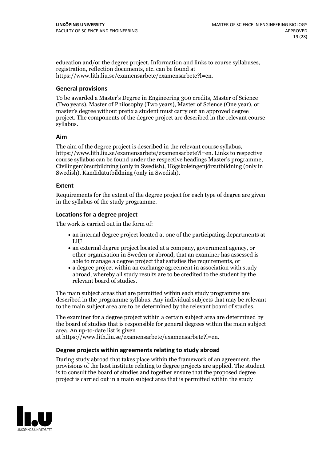education and/or the degree project. Information and links to course syllabuses, registration, reflection documents, etc. can be found at https://www.lith.liu.se/examensarbete/examensarbete?l=en.

#### **General provisions**

To be awarded a Master's Degree in Engineering 300 credits, Master of Science (Two years), Master of Philosophy (Two years), Master of Science (One year), or master's degree without prefix a student must carry out an approved degree project. The components of the degree project are described in the relevant course syllabus.

#### **Aim**

The aim of the degree project is described in the relevant course syllabus, https://www.lith.liu.se/examensarbete/examensarbete?l=en. Links to respective Civiling enjörsutbildning (only in Swedish), Högskoleing enjörsutbildning (only in Swedish), Kandidatutbildning (only in Swedish).

#### **Extent**

Requirements for the extent of the degree project for each type of degree are given in the syllabus of the study programme.

#### **Locations for a degree project**

The work is carried out in the form of:

- an internal degree project located at one of the participating departments at LiU
- an external degree project located at a company, government agency, or other organisation in Sweden or abroad, that an examiner has assessed is able to manage a degree project that satisfies the requirements, or
- a degree project within an exchange agreement in association with study abroad, whereby all study results are to be credited to the student by the relevant board of studies.

The main subject areas that are permitted within each study programme are described in the programme syllabus. Any individual subjects that may be relevant to the main subject area are to be determined by the relevant board of studies.

The examiner for a degree project within a certain subject area are determined by the board of studies that is responsible for general degrees within the main subject area. An up-to-date list is given

at https://www.lith.liu.se/examensarbete/examensarbete?l=en.

#### **Degree projects within agreements relatingto study abroad**

During study abroad that takes place within the framework of an agreement, the provisions of the host institute relating to degree projects are applied. The student is to consult the board of studies and together ensure that the proposed degree project is carried out in a main subject area that is permitted within the study

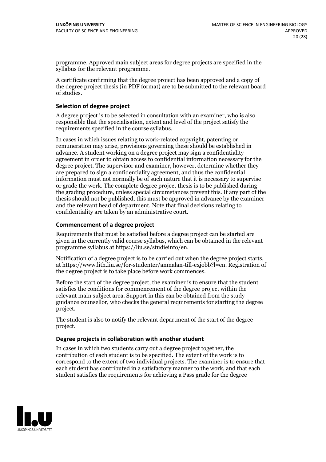programme. Approved main subject areas for degree projects are specified in the syllabus for the relevant programme.

A certificate confirming that the degree project has been approved and a copy of the degree project thesis (in PDF format) are to be submitted to the relevant board of studies.

#### **Selection of degree project**

A degree project is to be selected in consultation with an examiner, who is also responsible that the specialisation, extent and level of the project satisfy the requirements specified in the course syllabus.

In cases in which issues relating to work-related copyright, patenting or remuneration may arise, provisions governing these should be established in advance. A student working on a degree project may sign a confidentiality agreement in order to obtain access to confidential information necessary for the degree project. The supervisor and examiner, however, determine whether they are prepared to sign a confidentiality agreement, and thus the confidential information must not normally be of such nature that it is necessary to supervise or grade the work. The complete degree project thesis is to be published during the grading procedure, unless special circumstances prevent this. If any part of the thesis should not be published, this must be approved in advance by the examiner and the relevant head of department. Note that final decisions relating to confidentiality are taken by an administrative court.

#### **Commencement of a degree project**

Requirements that must be satisfied before a degree project can be started are given in the currently valid course syllabus, which can be obtained in the relevant programme syllabus at https://liu.se/studieinfo/en.

Notification of <sup>a</sup> degree project is to be carried outwhen the degree project starts, at https://www.lith.liu.se/for-studenter/anmalan-till-exjobb?l=en. Registration of the degree project is to take place before work commences.

Before the start of the degree project, the examiner is to ensure that the student satisfies the conditions for commencement of the degree project within the relevant main subject area. Support in this can be obtained from the study guidance counsellor, who checks the general requirements for starting the degree project.

The student is also to notify the relevant department of the start of the degree project.

#### **Degree projects in collaboration with another student**

In cases in which two students carry out a degree project together, the contribution of each student is to be specified. The extent of the work is to correspond to the extent of two individual projects. The examiner is to ensure that each student has contributed in a satisfactory manner to the work, and that each student satisfies the requirements for achieving a Pass grade for the degree

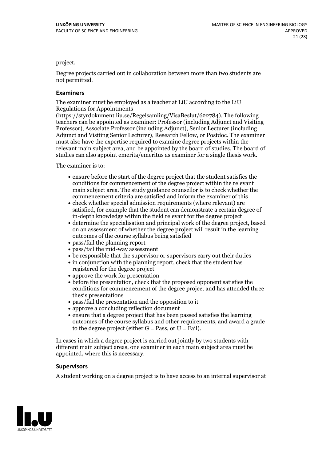project.

Degree projects carried out in collaboration between more than two students are not permitted.

#### **Examiners**

The examiner must be employed as a teacher at LiU according to the LiU Regulations for Appointments

(https://styrdokument.liu.se/Regelsamling/VisaBeslut/622784). The following teachers can be appointed as examiner: Professor (including Adjunct and Visiting Professor), Associate Professor (including Adjunct), Senior Lecturer (including Adjunct and Visiting Senior Lecturer), Research Fellow, or Postdoc. The examiner must also have the expertise required to examine degree projects within the relevant main subject area, and be appointed by the board of studies. The board of studies can also appoint emerita/emeritus as examiner for a single thesis work.

The examiner is to:

- ensure before the start of the degree project that the student satisfies the conditions for commencement of the degree project within the relevant main subject area. The study guidance counsellor is to check whether the commencement criteria are satisfied and inform the examiner of this
- check whether special admission requirements (where relevant) are satisfied, for example that the student can demonstrate a certain degree of in-depth knowledge within the field relevant for the degree project
- determine the specialisation and principal work of the degree project, based on an assessment of whether the degree project will result in the learning outcomes of the course syllabus being satisfied
- pass/fail the planning report
- pass/fail the mid-way assessment
- be responsible that the supervisor or supervisors carry out their duties
- in conjunction with the planning report, check that the student has registered for the degree project
- approve the work for presentation
- before the presentation, check that the proposed opponent satisfies the conditions for commencement of the degree project and has attended three thesis presentations
- pass/fail the presentation and the opposition to it
- approve a concluding reflection document
- ensure that a degree project that has been passed satisfies the learning outcomes of the course syllabus and other requirements, and award a grade to the degree project (either  $G = Pass$ , or  $U = Fail$ ).

In cases in which a degree project is carried out jointly by two students with different main subject areas, one examiner in each main subject area must be appointed, where this is necessary.

#### **Supervisors**

A student working on a degree project is to have access to an internal supervisor at

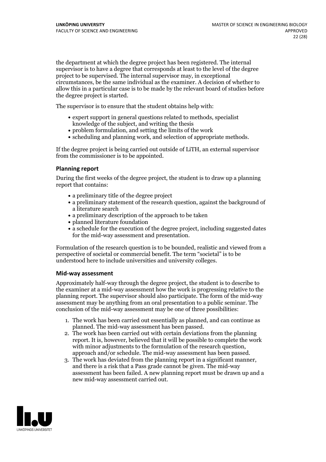the department at which the degree project has been registered. The internal supervisor is to have a degree that corresponds at least to the level of the degree project to be supervised. The internal supervisor may, in exceptional circumstances, be the same individual as the examiner. A decision of whether to allow this in a particular case is to be made by the relevant board of studies before the degree project is started.

The supervisor is to ensure that the student obtains help with:

- expert support in general questions related to methods, specialist knowledge of the subject, and writing the thesis
- problem formulation, and setting the limits of the work
- scheduling and planning work, and selection of appropriate methods.

If the degree project is being carried out outside of LiTH, an external supervisor from the commissioner is to be appointed.

#### **Planning report**

During the first weeks of the degree project, the student is to draw up a planning report that contains:

- $\bullet$  a preliminary title of the degree project
- a preliminary statement of the research question, against the background of a literature search
- a preliminary description of the approach to be taken
- planned literature foundation
- a schedule for the execution of the degree project, including suggested dates for the mid-way assessment and presentation.

Formulation of the research question is to be bounded, realistic and viewed from a perspective ofsocietal or commercial benefit. The term "societal" is to be understood here to include universities and university colleges.

#### **Mid-way assessment**

Approximately half-way through the degree project, the student is to describe to the examiner at a mid-way assessment how the work is progressing relative to the planning report. The supervisor should also participate. The form of the mid-way assessment may be anything from an oral presentation to a public seminar. The conclusion of the mid-way assessment may be one of three possibilities:

- 1. The work has been carried out essentially as planned, and can continue as planned. The mid-way assessment has been passed.
- 2. The work has been carried out with certain deviations from the planning report. It is, however, believed that it will be possible to complete the work with minor adjustments to the formulation of the research question,<br>approach and/or schedule. The mid-way assessment has been passed.<br>3. The work has deviated from the planning report in a significant manner,<br>and there is
- assessment has been failed. A new planning report must be drawn up and a new mid-way assessment carried out.

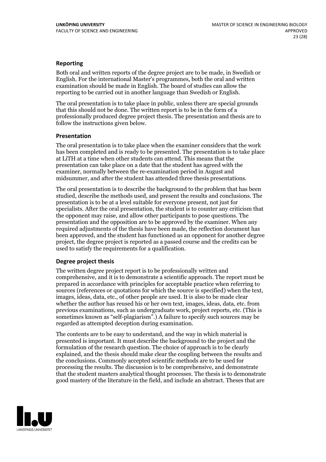#### **Reporting**

Both oral and written reports of the degree project are to be made, in Swedish or English. For the international Master's programmes, both the oral and written examination should be made in English. The board of studies can allow the reporting to be carried out in another language than Swedish or English.

The oral presentation is to take place in public, unless there are special grounds that this should not be done. The written report is to be in the form of a professionally produced degree project thesis. The presentation and thesis are to follow the instructions given below.

#### **Presentation**

The oral presentation is to take place when the examiner considers that the work has been completed and is ready to be presented. The presentation is to take place at LiTH at a time when other students can attend. This means that the presentation can take place on a date that the student has agreed with the examiner, normally between the re-examination period in August and midsummer, and after the student has attended three thesis presentations.

The oral presentation is to describe the background to the problem that has been studied, describe the methods used, and present the results and conclusions. The presentation is to be at a level suitable for everyone present, not just for specialists. After the oral presentation, the student is to counter any criticism that the opponent may raise, and allow other participants to pose questions. The presentation and the opposition are to be approved by the examiner. When any required adjustments of the thesis have been made, the reflection document has been approved, and the student has functioned as an opponent for another degree project, the degree project is reported as a passed course and the credits can be used to satisfy the requirements for a qualification.

#### **Degree project thesis**

The written degree project report is to be professionally written and comprehensive, and it is to demonstrate a scientific approach. The report must be prepared in accordance with principles for acceptable practice when referring to sources (references or quotations for which the source is specified) when the text, images, ideas, data, etc., of other people are used. It is also to be made clear whether the author has reused his or her own text, images, ideas, data, etc. from previous examinations, such asundergraduate work, project reports, etc. (This is sometimes known as "self-plagiarism".) A failure to specify such sources may be regarded as attempted deception during examination.

The contents are to be easy to understand, and the way in which material is presented is important. It must describe the background to the project and the formulation of the research question. The choice of approach is to be clearly explained, and the thesis should make clear the coupling between the results and the conclusions. Commonly accepted scientific methods are to be used for processing the results. The discussion is to be comprehensive, and demonstrate that the student masters analytical thought processes. The thesis is to demonstrate good mastery of the literature in the field, and include an abstract. Theses that are

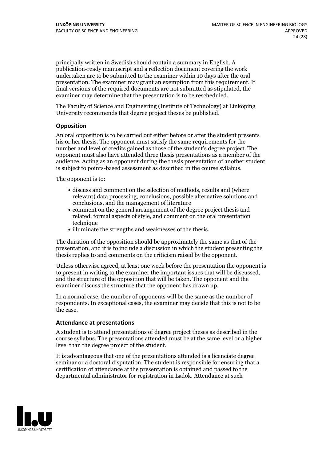principally written in Swedish should contain a summary in English. A publication-ready manuscript and a reflection document covering the work undertaken are to be submitted to the examiner within 10 days after the oral presentation. The examiner may grant an exemption from this requirement. If final versions of the required documents are not submitted as stipulated, the examiner may determine that the presentation is to be rescheduled.

The Faculty of Science and Engineering (Institute of Technology) at Linköping University recommends that degree project theses be published.

#### **Opposition**

An oral opposition is to be carried out either before or after the student presents his or her thesis. The opponent must satisfy the same requirements for the number and level of credits gained as those of the student's degree project. The opponent must also have attended three thesis presentations as a member of the audience. Acting as an opponent during the thesis presentation of another student is subject to points-based assessment as described in the course syllabus.

The opponent is to:

- discuss and comment on the selection of methods, results and (where relevant) data processing, conclusions, possible alternative solutions and conclusions, and the management of literature
- comment on the general arrangement of the degree project thesis and related, formal aspects of style, and comment on the oral presentation technique
- illuminate the strengths and weaknesses of the thesis.

The duration of the opposition should be approximately the same as that of the presentation, and it is to include a discussion in which the student presenting the thesis replies to and comments on the criticism raised by the opponent.

Unless otherwise agreed, at least one week before the presentation the opponent is to present in writing to the examiner the important issues that will be discussed, and the structure ofthe opposition that will be taken. The opponent and the examiner discuss the structure that the opponent has drawn up.

In a normal case, the number of opponents will be the same as the number of respondents. In exceptional cases, the examiner may decide that this is not to be the case.

#### **Attendance at presentations**

A student is to attend presentations of degree project theses as described in the course syllabus. The presentations attended must be at the same level or a higher level than the degree project of the student.

It is advantageous that one of the presentations attended is a licenciate degree seminar or a doctoral disputation. The student is responsible for ensuring that a certification of attendance at the presentation is obtained and passed to the departmental administrator for registration in Ladok. Attendance at such

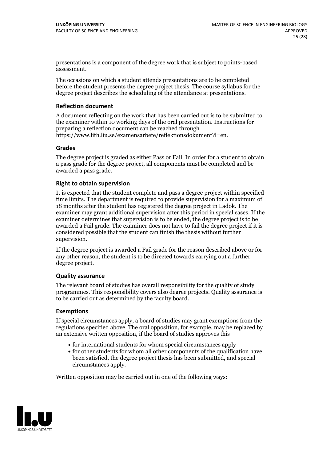presentations is a component of the degree work that is subject to points-based assessment.

The occasions on which a student attends presentations are to be completed before the student presents the degree project thesis. The course syllabus for the degree project describes the scheduling of the attendance at presentations.

#### **Reflection document**

A document reflecting on the work that has been carried outis to be submitted to the examiner within 10 working days of the oral presentation. Instructions for preparing a reflection document can be reached through https://www.lith.liu.se/examensarbete/reflektionsdokument?l=en.

#### **Grades**

The degree project is graded as either Pass or Fail. In order for a student to obtain a pass grade for the degree project, all components must be completed and be awarded a pass grade.

#### **Right to obtain supervision**

It is expected that the student complete and pass a degree project within specified time limits. The department is required to provide supervision for a maximum of 18 months after the student has registered the degree project in Ladok. The examiner may grant additional supervision after this period in special cases. If the examiner determines that supervision is to be ended, the degree project is to be awarded a Fail grade. The examiner does not have to fail the degree project if it is considered possible that the student can finish the thesis without further supervision.

If the degree project is awarded a Fail grade for the reason described above or for any other reason, the student is to be directed towards carrying out a further degree project.

#### **Quality assurance**

The relevant board of studies has overall responsibility for the quality of study programmes. This responsibility covers also degree projects. Quality assurance is to be carried out as determined by the faculty board.

#### **Exemptions**

If special circumstances apply, a board of studies may grant exemptions from the regulations specified above. The oral opposition, for example, may be replaced by an extensive written opposition, if the board of studies approves this

- for international students for whom special circumstances apply
- for other students for whom all other components of the qualification have been satisfied, the degree project thesis has been submitted, and special circumstances apply.

Written opposition may be carried out in one of the following ways:

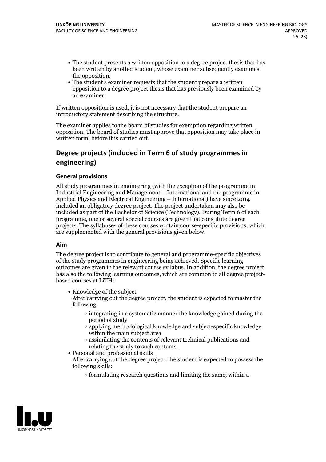- The student presents a written opposition to a degree project thesis that has been written by another student, whose examiner subsequently examines
- the opposition.<br>• The student's examiner requests that the student prepare a written opposition to a degree project thesis that has previously been examined by an examiner.

If written opposition is used, it is not necessary that the student prepare an introductory statement describing the structure.

The examiner applies to the board of studies for exemption regarding written opposition. The board of studies must approve that opposition may take place in written form, before it is carried out.

### **Degree projects (included in Term 6 of study programmes in engineering)**

#### **General provisions**

All study programmes in engineering (with the exception of the programme in Industrial Engineering and Management – International and the programme in Applied Physics and Electrical Engineering – International) have since 2014 included an obligatory degree project. The project undertaken may also be included as part of the Bachelor of Science (Technology). During Term 6 of each programme, one or several special courses are given that constitute degree projects. The syllabuses of these courses contain course-specific provisions, which are supplemented with the general provisions given below.

#### **Aim**

The degree project is to contribute to general and programme-specific objectives of the study programmes in engineering being achieved. Specific learning outcomes are given in the relevant course syllabus. In addition, the degree project has also the following learning outcomes, which are common to all degree project-<br>based courses at LiTH:

- Knowledge of the subject After carrying out the degree project, the student is expected to master the following:
	- $\circ$  integrating in a systematic manner the knowledge gained during the period of study
	- applying methodological knowledge and subject-specific knowledge within the main subject area
- $\circ$  assimilating the contents of relevant technical publications and relating the study to such contents.<br>• Personal and professional skills
	-
- After carrying out the degree project, the student is expected to possess the following skills:
	- $\circ$  formulating research questions and limiting the same, within a

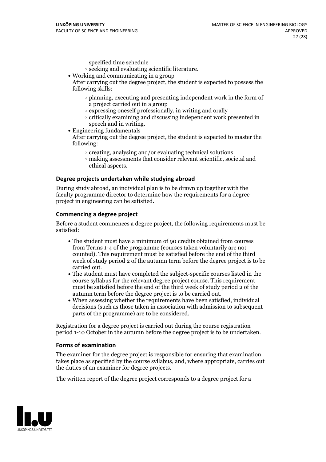specified time schedule

- $\circ$  seeking and evaluating scientific literature. <br> Working and communicating in a group
- 

After carrying out the degree project, the student is expected to possess the following skills:

- $\circ$  planning, executing and presenting independent work in the form of a project carried out in a group
- $\circ$  expressing oneself professionally, in writing and orally
- $\circ$  critically examining and discussing independent work presented in speech and in writing.
- $\bullet$  Engineering fundamentals

After carrying out the degree project, the student is expected to master the following:

- $\circ$  creating, analysing and/or evaluating technical solutions
- making assessments that consider relevant scientific, societal and ethical aspects.

#### **Degree projects undertaken while studying abroad**

During study abroad, an individual plan is to be drawn up together with the faculty programme director to determine how the requirements for a degree project in engineering can be satisfied.

#### **Commencing a degree project**

Before a student commences a degree project, the following requirements must be satisfied:

- The student must have a minimum of 90 credits obtained from courses from Terms 1-4 of the programme (courses taken voluntarily are not counted). This requirement must be satisfied before the end of the third week of study period 2 of the autumn term before the degree project is to be
- carried out.<br>• The student must have completed the subject-specific courses listed in the course syllabus for the relevant degree project course. This requirement must be satisfied before the end of the third week of study period 2 of the autumn term before the degree project is to be carried out.<br>• When assessing whether the requirements have been satisfied, individual
- decisions (such as those taken in association with admission to subsequent parts of the programme) are to be considered.

Registration for a degree project is carried out during the course registration period 1-10 October in the autumn before the degree project is to be undertaken.

#### **Forms of examination**

The examiner for the degree project is responsible for ensuring that examination takes place as specified by the course syllabus, and, where appropriate, carries out the duties of an examiner for degree projects.

The written report of the degree project corresponds to a degree project for a